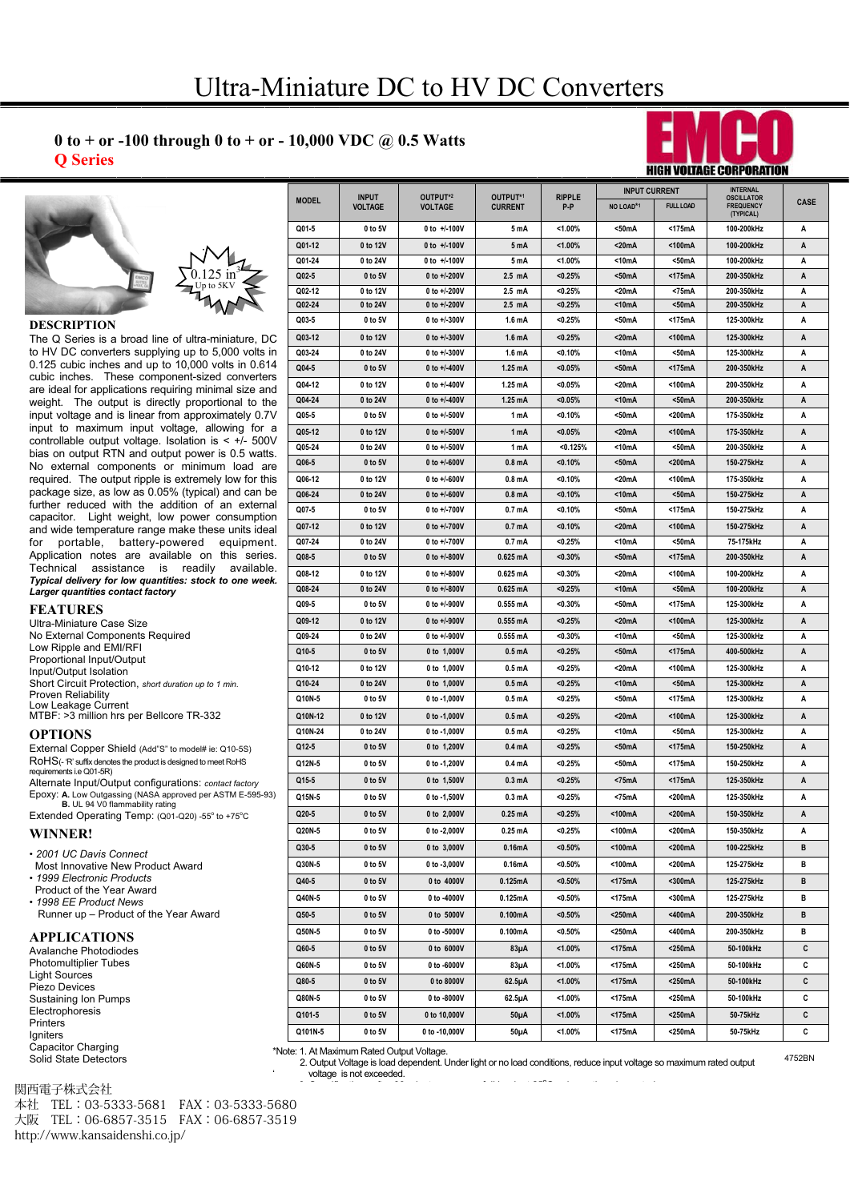# **0 Series**<br>**0 Series Q Series**





### **DESCRIPTION**

**The Q Series is a broad line of ultra-miniature, DC** to HV DC converters supplying up to 5,000 volts in 0.125 cubic inches and up to 10,000 volts in 0.614 cubic inches. These component-sized converters are ideal for applications requiring minimal size and weight. The output is directly proportional to the input voltage and is linear from approximately 0.7V input to maximum input voltage, allowing for a controllable output voltage. Isolation is < +/- 500V bias on output RTN and output power is 0.5 watts. No external components or minimum load are required. The output ripple is extremely low for this package size, as low as 0.05% (typical) and can be further reduced with the addition of an external capacitor. Light weight, low power consumption and wide temperature range make these units ideal for portable, battery-powered equipment. Application notes are available on this series. Technical assistance is readily available. *Typical delivery for low quantities: stock to one week. Larger quantities contact factory*

**FEATURES** Ultra-Miniature Case Size No External Components Required Low Ripple and EMI/RFI Proportional Input/Output Input/Output Isolation Short Circuit Protection, *short duration up to 1 min.* Proven Reliability Low Leakage Current MTBF: >3 million hrs per Bellcore TR-332

External Copper Shield (Add"S" to model# ie: Q10-5S) RoHS(- 'R' suffix denotes the product is designed to meet RoHS requirements i.e Q01-5R) Alternate Input/Output configurations: *contact factory* Epoxy: **A.** Low Outgassing (NASA approved per ASTM E-595-93)<br>**B.** UL 94 V0 flammability rating

Extended Operating Temp: (Q01-Q20) -55° to +75°C

• *2001 UC Davis Connect* **WINNER!**

- Most Innovative New Product Award
- *1999 Electronic Products*  Product of the Year Award
- *1998 EE Product News*  Runner up – Product of the Year Award

## **APPLICATIONS**

Avalanche Photodiodes Photomultiplier Tubes Light Sources Piezo Devices Sustaining Ion Pumps Electrophoresis Printers **Igniters** Capacitor Charging Solid State Detectors

| 関西電子株式会社 |  |
|----------|--|
|----------|--|

e-mail sales@emcohighvoltage.com 本社 TEL:03-5333-5681 FAX:03-5333-5680 + ||<br>大阪 TEL:06-6857-3515 FAX:06-6857-3519 http://www.kansaidenshi.co.jp/

| <b>MODEL</b> | <b>INPUT</b><br>VOLTAGE | OUTPUT*2<br>VOLTAGE | OUTPUT*1<br><b>CURRENT</b> | <b>RIPPLE</b><br>P-P | <b>INPUT CURRENT</b>  |                  | <b>INTERNAL</b>                                    |      |
|--------------|-------------------------|---------------------|----------------------------|----------------------|-----------------------|------------------|----------------------------------------------------|------|
|              |                         |                     |                            |                      | NO LOAD*1             | <b>FULL LOAD</b> | <b>OSCILLATOR</b><br><b>FREQUENCY</b><br>(TYPICAL) | CASE |
| Q01-5        | 0 to 5V                 | 0 to +/-100V        | 5 mA                       | <1.00%               | $50mA$                | <175mA           | 100-200kHz                                         | Α    |
| Q01-12       | 0 to 12V                | 0 to $+/-100V$      | 5 mA                       | $1.00\%$             | <20mA                 | <100mA           | 100-200kHz                                         | Α    |
| Q01-24       | 0 to 24V                | 0 to +/-100V        | 5 mA                       | $< 1.00\%$           | <10mA                 | <50mA            | 100-200kHz                                         | Α    |
| Q02-5        | 0 to 5V                 | 0 to +/-200V        | $2.5$ mA                   | < 0.25%              | $50mA$                | <175mA           | 200-350kHz                                         | Α    |
| Q02-12       | 0 to 12V                | 0 to +/-200V        | 2.5 mA                     | < 0.25%              | <20mA                 | <75mA            | 200-350kHz                                         | A    |
| Q02-24       | 0 to 24V                | 0 to +/-200V        | 2.5 mA                     | < 0.25%              | <10mA                 | $50mA$           | 200-350kHz                                         | Α    |
| Q03-5        | 0 to 5V                 | 0 to +/-300V        | 1.6 mA                     | < 0.25%              | <50mA                 | <175mA           | 125-300kHz                                         | Α    |
| Q03-12       | 0 to 12V                | 0 to +/-300V        | 1.6 <sub>m</sub> A         | < 0.25%              | $<$ 20 <sub>m</sub> A | <100mA           | 125-300kHz                                         | Α    |
| Q03-24       | 0 to 24V                | 0 to +/-300V        | 1.6 mA                     | < 0.10%              | <10mA                 | <50mA            | 125-300kHz                                         | A    |
| Q04-5        | 0 to 5V                 | 0 to +/-400V        | 1.25 mA                    | < 0.05%              | <50mA                 | <175mA           | 200-350kHz                                         | A    |
| Q04-12       | 0 to 12V                | 0 to +/-400V        | 1.25 mA                    | $< 0.05\%$           | <20mA                 | <100mA           | 200-350kHz                                         | Α    |
| Q04-24       | 0 to 24V                | 0 to +/-400V        | 1.25 mA                    | < 0.05%              | <10mA                 | $50mA$           | 200-350kHz                                         | A    |
| Q05-5        | 0 to 5V                 | 0 to +/-500V        | 1 mA                       | $< 0.10\%$           | <50mA                 | <200mA           | 175-350kHz                                         | Α    |
| Q05-12       | 0 to 12V                | 0 to +/-500V        | 1 mA                       | < 0.05%              | <20mA                 | <100mA           | 175-350kHz                                         | Α    |
| Q05-24       | 0 to 24V                | 0 to $+/-500V$      | 1 mA                       | < 0.125%             | <10mA                 | <50mA            | 200-350kHz                                         | Α    |
| Q06-5        | 0 to 5V                 | 0 to $+/-600V$      | 0.8 <sub>m</sub> A         | < 0.10%              | <50mA                 | <200mA           | 150-275kHz                                         | A    |
| Q06-12       | 0 to 12V                | 0 to +/-600V        | 0.8 mA                     | $< 0.10\%$           | <20mA                 | <100mA           | 175-350kHz                                         | Α    |
| Q06-24       | 0 to 24V                | 0 to $+/-600V$      | 0.8 <sub>m</sub> A         | < 0.10%              | <10mA                 | $50mA$           | 150-275kHz                                         | Α    |
| Q07-5        | 0 to 5V                 | 0 to +/-700V        | 0.7 mA                     | $< 0.10\%$           | <50mA                 | <175mA           | 150-275kHz                                         | А    |
| Q07-12       | 0 to 12V                | 0 to +/-700V        | 0.7 mA                     | < 0.10%              | <20mA                 | <100mA           | 150-275kHz                                         | Α    |
| Q07-24       | 0 to 24V                | 0 to +/-700V        | 0.7 mA                     | < 0.25%              | <10mA                 | <50mA            | 75-175kHz                                          | А    |
| Q08-5        | 0 to 5V                 | 0 to +/-800V        | $0.625$ mA                 | $< 0.30\%$           | $50mA$                | <175mA           | 200-350kHz                                         | A    |
| Q08-12       | 0 to 12V                | 0 to +/-800V        | $0.625 \text{ mA}$         | $< 0.30\%$           | $<$ 20mA              | <100mA           | 100-200kHz                                         | A    |
| Q08-24       | 0 to 24V                | 0 to +/-800V        | $0.625 \text{ mA}$         | < 0.25%              | <10mA                 | $50mA$           | 100-200kHz                                         | A    |
| Q09-5        | 0 to 5V                 | 0 to +/-900V        | $0.555 \text{ mA}$         | $< 0.30\%$           | <50mA                 | <175mA           | 125 300kHz                                         | А    |
| Q09-12       | 0 to 12V                | 0 to +/-900V        | $0.555 \text{ mA}$         | < 0.25%              | <20mA                 | <100mA           | 125-300kHz                                         | Α    |
| Q09-24       | 0 to 24V                | 0 to +/-900V        | $0.555 \text{ mA}$         | $< 0.30\%$           | <10mA                 | <50mA            | 125-300kHz                                         | А    |
| Q10-5        | 0 to 5V                 | 0 to 1,000V         | 0.5 <sub>m</sub> A         | < 0.25%              | <50mA                 | <175mA           | 400-500kHz                                         | Α    |
| Q10-12       | 0 to 12V                | 0 to 1,000V         | 0.5 mA                     | < 0.25%              | <20mA                 | <100mA           | 125 300kHz                                         | А    |
| Q10-24       | 0 to 24V                | 0 to 1,000V         | 0.5 <sub>m</sub> A         | < 0.25%              | <10mA                 | $50mA$           | 125-300kHz                                         | A    |
| Q10N-5       | 0 to 5V                 | 0 to -1,000V        | 0.5 mA                     | < 0.25%              | <50mA                 | <175mA           | 125-300kHz                                         | Α    |
| Q10N-12      | 0 to 12V                | 0 to -1,000V        | 0.5 <sub>m</sub> A         | < 0.25%              | <20mA                 | <100mA           | 125-300kHz                                         | Α    |
| Q10N-24      | 0 to 24V                | 0 to -1,000V        | 0.5 mA                     | < 0.25%              | <10mA                 | <50mA            | 125-300kHz                                         | А    |
| Q12-5        | 0 to 5V                 | 0 to 1,200V         | 0.4 <sub>m</sub> A         | < 0.25%              | $50mA$                | <175mA           | 150-250kHz                                         | Α    |
| Q12N-5       | 0 to 5V                 | 0 to -1,200V        | 0.4 mA                     | < 0.25%              | <50mA                 | <175mA           | 150-250kHz                                         | А    |
|              |                         |                     |                            |                      |                       |                  | 125-350kHz                                         |      |
| Q15-5        | 0 to 5V                 | 0 to 1,500V         | 0.3 <sub>m</sub> A         | < 0.25%              | <75mA                 | <175mA           |                                                    | A    |
| Q15N-5       | 0 to 5V                 | 0 to -1,500V        | 0.3 <sub>m</sub> A         | <0.25%               | $<$ 75mA              | <200mA           | 125 350kHz                                         | А    |
| Q20-5        | 0 to 5V                 | 0 to 2,000V         | 0.25 mA                    | < 0.25%              | <100mA                | <200mA           | 150-350kHz                                         | Α    |
| Q20N-5       | 0 to 5V                 | 0 to -2,000V        | 0.25 mA                    | <0.25%               | <100mA                | <200mA           | 150-350kHz                                         | А    |
| Q30-5        | 0 to 5V                 | 0 to 3,000V         | 0.16mA                     | $< 0.50\%$           | <100mA                | <200mA           | 100-225kHz                                         | в    |
| Q30N-5       | 0 to 5V                 | 0 to -3,000V        | 0.16mA                     | $< 0.50\%$           | <100mA                | <200mA           | 125-275kHz                                         | в    |
| Q40-5        | 0 to 5V                 | 0 to 4000V          | 0.125mA                    | $< 0.50\%$           | $<$ 175 $mA$          | <300mA           | 125-275kHz                                         | в    |
| Q40N-5       | 0 to 5V                 | 0 to -4000V         | 0.125mA                    | $< 0.50\%$           | <175mA                | <300mA           | 125-275kHz                                         | в    |
| Q50-5        | 0 to 5V                 | 0 to 5000V          | 0.100mA                    | $< 0.50\%$           | <250mA                | <400mA           | 200-350kHz                                         | В    |
| Q50N-5       | 0 to 5V                 | 0 to 5000V          | 0.100mA                    | $< 0.50\%$           | <250mA                | <400mA           | 200-350kHz                                         | в    |
| Q60-5        | 0 to 5V                 | 0 to 6000V          | 83µA                       | $1.00\%$             | $<$ 175 $mA$          | <250mA           | 50-100kHz                                          | c    |
| Q60N-5       | 0 to 5V                 | 0 to -6000V         | 83µA                       | <1.00%               | <175mA                | <250mA           | 50-100kHz                                          | С    |
| Q80-5        | 0 to 5V                 | 0 to 8000V          | $62.5\mu A$                | $1.00\%$             | $<$ 175 $mA$          | <250mA           | 50-100kHz                                          | C    |
| Q80N-5       | 0 to 5V                 | 0 to -8000V         | 62.5µA                     | <1.00%               | <175mA                | <250mA           | 50-100kHz                                          | C    |
|              |                         |                     |                            |                      |                       |                  |                                                    |      |
| Q101-5       | 0 to 5V                 | 0 to 10,000V        | 50 <sub>µ</sub> A          | $< 1.00\%$           | $<$ 175 $mA$          | <250mA           | 50-75kHz                                           | C    |
| Q101N-5      | 0 to 5V                 | 0 to -10,000V       | 50µA                       | <1.00%               | <175mA                | <250mA           | 50-75kHz                                           | C    |

4752BN \*Note: 1. At Maximum Rated Output Voltage. 2. Output Voltage is load dependent. Under light or no load conditions, reduce input voltage so maximum rated output ' voltage is not exceeded. 3. Specifications after 30 minute warm-up, full load, at 25o